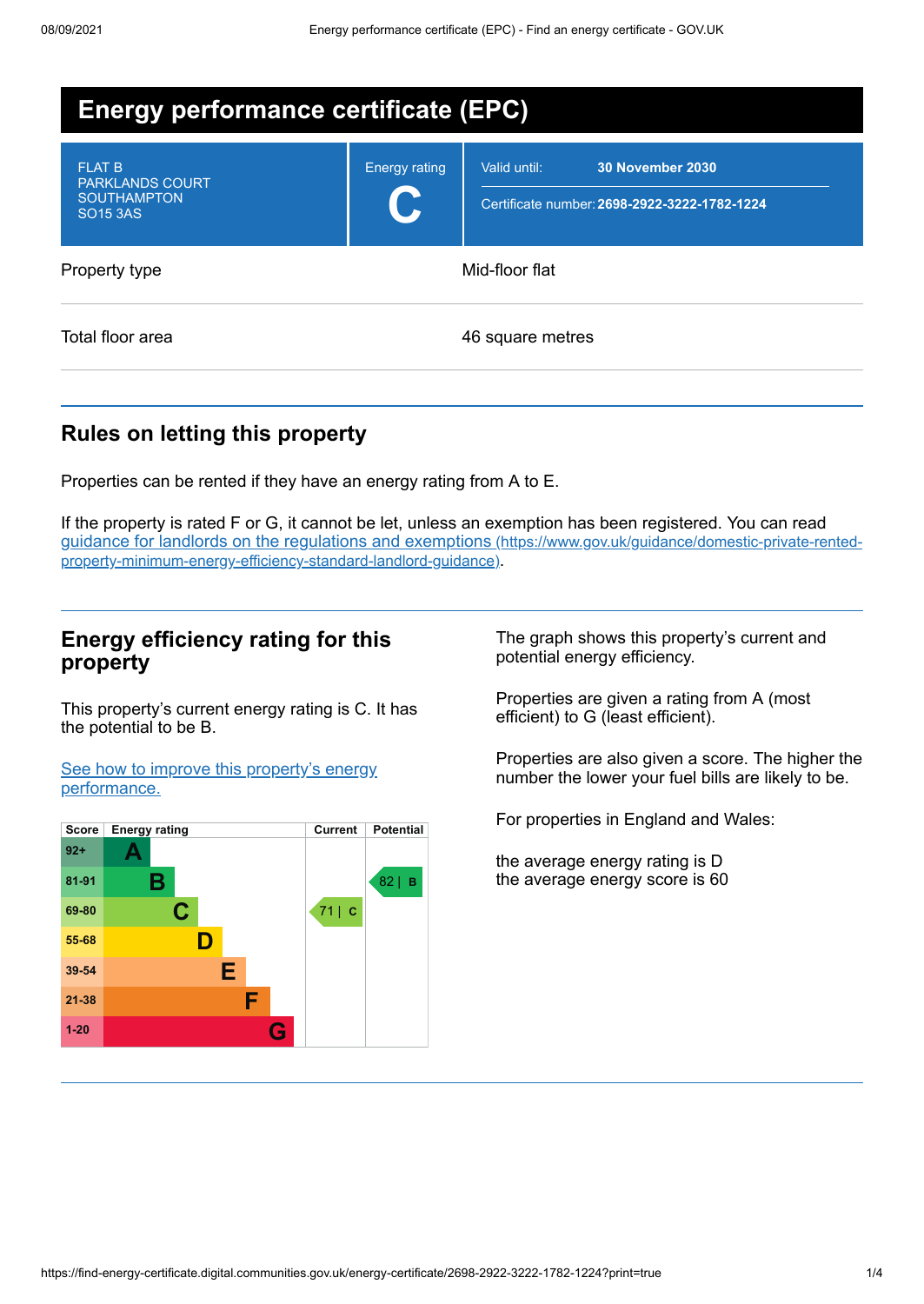| <b>Energy performance certificate (EPC)</b>                                      |                      |                                                                                         |  |
|----------------------------------------------------------------------------------|----------------------|-----------------------------------------------------------------------------------------|--|
| <b>FLAT B</b><br><b>PARKLANDS COURT</b><br><b>SOUTHAMPTON</b><br><b>SO15 3AS</b> | <b>Energy rating</b> | <b>30 November 2030</b><br>Valid until:<br>Certificate number: 2698-2922-3222-1782-1224 |  |
| Property type                                                                    | Mid-floor flat       |                                                                                         |  |
| Total floor area                                                                 |                      | 46 square metres                                                                        |  |

# **Rules on letting this property**

Properties can be rented if they have an energy rating from A to E.

If the property is rated F or G, it cannot be let, unless an exemption has been registered. You can read guidance for landlords on the regulations and exemptions (https://www.gov.uk/guidance/domestic-private-rented[property-minimum-energy-efficiency-standard-landlord-guidance\)](https://www.gov.uk/guidance/domestic-private-rented-property-minimum-energy-efficiency-standard-landlord-guidance).

### **Energy efficiency rating for this property**

This property's current energy rating is C. It has the potential to be B.

See how to improve this property's energy [performance.](#page-2-0)



The graph shows this property's current and potential energy efficiency.

Properties are given a rating from A (most efficient) to G (least efficient).

Properties are also given a score. The higher the number the lower your fuel bills are likely to be.

For properties in England and Wales:

the average energy rating is D the average energy score is 60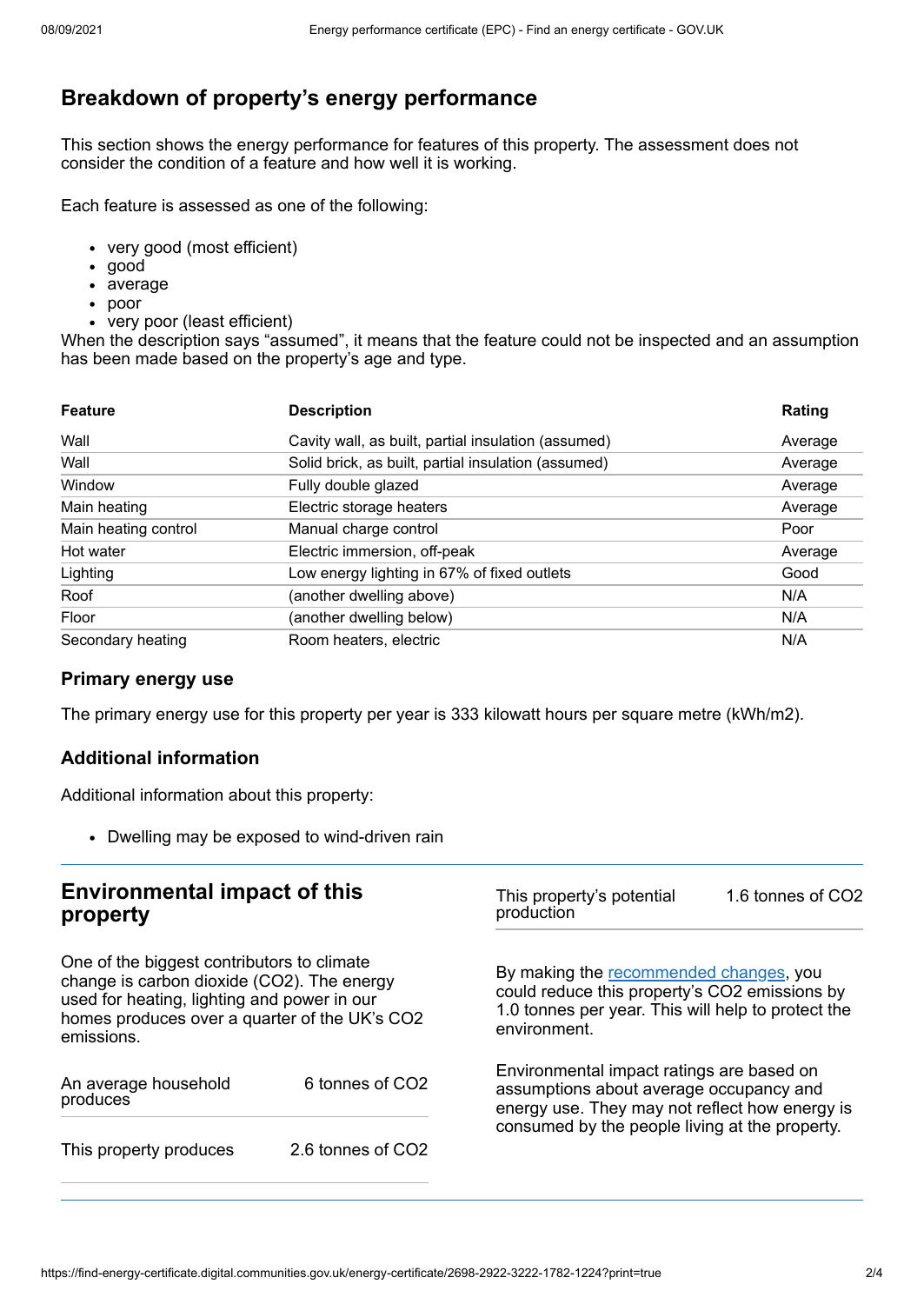# **Breakdown of property's energy performance**

This section shows the energy performance for features of this property. The assessment does not consider the condition of a feature and how well it is working.

Each feature is assessed as one of the following:

- very good (most efficient)
- good
- average
- poor
- very poor (least efficient)

When the description says "assumed", it means that the feature could not be inspected and an assumption has been made based on the property's age and type.

| <b>Feature</b>       | <b>Description</b>                                  | Rating  |
|----------------------|-----------------------------------------------------|---------|
| Wall                 | Cavity wall, as built, partial insulation (assumed) | Average |
| Wall                 | Solid brick, as built, partial insulation (assumed) | Average |
| Window               | Fully double glazed                                 | Average |
| Main heating         | Electric storage heaters                            | Average |
| Main heating control | Manual charge control                               | Poor    |
| Hot water            | Electric immersion, off-peak                        | Average |
| Lighting             | Low energy lighting in 67% of fixed outlets         | Good    |
| Roof                 | (another dwelling above)                            | N/A     |
| Floor                | (another dwelling below)                            | N/A     |
| Secondary heating    | Room heaters, electric                              | N/A     |

#### **Primary energy use**

The primary energy use for this property per year is 333 kilowatt hours per square metre (kWh/m2).

#### **Additional information**

Additional information about this property:

Dwelling may be exposed to wind-driven rain

# **Environmental impact of this property**

One of the biggest contributors to climate change is carbon dioxide (CO2). The energy used for heating, lighting and power in our homes produces over a quarter of the UK's CO2 emissions.

| An average household<br>produces | 6 tonnes of CO2   |  |
|----------------------------------|-------------------|--|
| This property produces           | 2.6 tonnes of CO2 |  |

This property's potential production 1.6 tonnes of CO2

By making the [recommended](#page-2-0) changes, you could reduce this property's CO2 emissions by 1.0 tonnes per year. This will help to protect the environment.

Environmental impact ratings are based on assumptions about average occupancy and energy use. They may not reflect how energy is consumed by the people living at the property.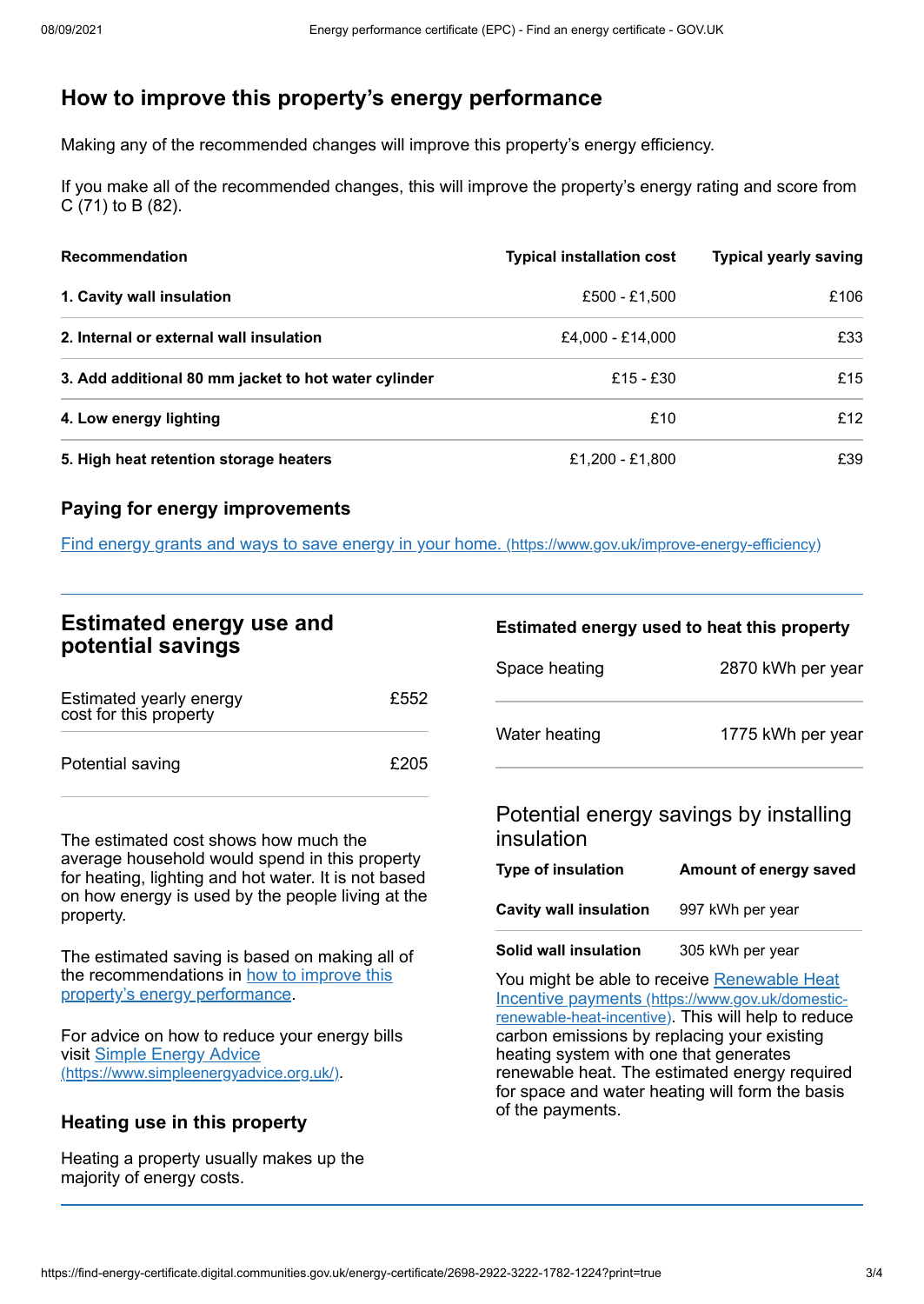# <span id="page-2-0"></span>**How to improve this property's energy performance**

Making any of the recommended changes will improve this property's energy efficiency.

If you make all of the recommended changes, this will improve the property's energy rating and score from C (71) to B (82).

| <b>Recommendation</b>                                | <b>Typical installation cost</b> | <b>Typical yearly saving</b> |
|------------------------------------------------------|----------------------------------|------------------------------|
| 1. Cavity wall insulation                            | £500 - £1,500                    | £106                         |
| 2. Internal or external wall insulation              | £4,000 - £14,000                 | £33                          |
| 3. Add additional 80 mm jacket to hot water cylinder | £15 - £30                        | £15                          |
| 4. Low energy lighting                               | £10                              | £12                          |
| 5. High heat retention storage heaters               | £1,200 - £1,800                  | £39                          |

### **Paying for energy improvements**

Find energy grants and ways to save energy in your home. [\(https://www.gov.uk/improve-energy-efficiency\)](https://www.gov.uk/improve-energy-efficiency)

# **Estimated energy use and potential savings**

| Estimated yearly energy<br>cost for this property | £552 |
|---------------------------------------------------|------|
| Potential saving                                  | £205 |

The estimated cost shows how much the average household would spend in this property for heating, lighting and hot water. It is not based on how energy is used by the people living at the property.

The estimated saving is based on making all of the [recommendations](#page-2-0) in how to improve this property's energy performance.

For advice on how to reduce your energy bills visit Simple Energy Advice [\(https://www.simpleenergyadvice.org.uk/\)](https://www.simpleenergyadvice.org.uk/).

# **Heating use in this property**

Heating a property usually makes up the majority of energy costs.

#### **Estimated energy used to heat this property**

| Space heating | 2870 kWh per year |
|---------------|-------------------|
| Water heating | 1775 kWh per year |

# Potential energy savings by installing insulation

| Type of insulation     | Amount of energy saved |
|------------------------|------------------------|
| Cavity wall insulation | 997 kWh per year       |

**Solid wall insulation** 305 kWh per year

You might be able to receive Renewable Heat Incentive payments [\(https://www.gov.uk/domestic](https://www.gov.uk/domestic-renewable-heat-incentive)renewable-heat-incentive). This will help to reduce carbon emissions by replacing your existing heating system with one that generates renewable heat. The estimated energy required for space and water heating will form the basis of the payments.